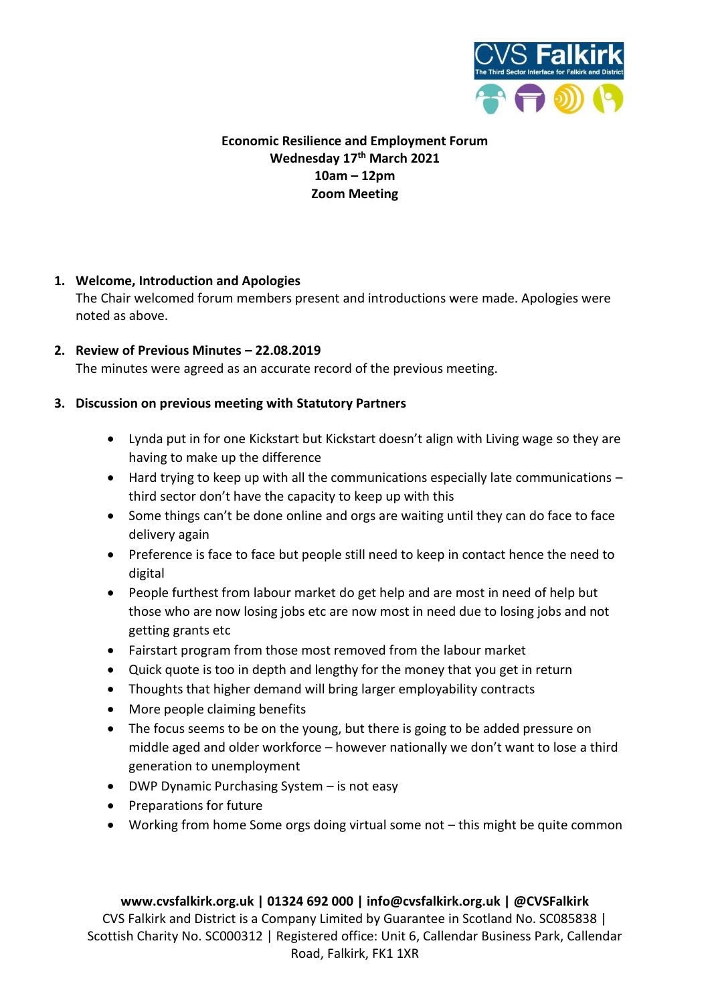

# **Economic Resilience and Employment Forum Wednesday 17th March 2021 10am – 12pm Zoom Meeting**

# **1. Welcome, Introduction and Apologies**

The Chair welcomed forum members present and introductions were made. Apologies were noted as above.

## **2. Review of Previous Minutes – 22.08.2019**

The minutes were agreed as an accurate record of the previous meeting.

#### **3. Discussion on previous meeting with Statutory Partners**

- Lynda put in for one Kickstart but Kickstart doesn't align with Living wage so they are having to make up the difference
- Hard trying to keep up with all the communications especially late communications third sector don't have the capacity to keep up with this
- Some things can't be done online and orgs are waiting until they can do face to face delivery again
- Preference is face to face but people still need to keep in contact hence the need to digital
- People furthest from labour market do get help and are most in need of help but those who are now losing jobs etc are now most in need due to losing jobs and not getting grants etc
- Fairstart program from those most removed from the labour market
- Quick quote is too in depth and lengthy for the money that you get in return
- Thoughts that higher demand will bring larger employability contracts
- More people claiming benefits
- The focus seems to be on the young, but there is going to be added pressure on middle aged and older workforce – however nationally we don't want to lose a third generation to unemployment
- DWP Dynamic Purchasing System is not easy
- Preparations for future
- Working from home Some orgs doing virtual some not this might be quite common

#### **www.cvsfalkirk.org.uk | 01324 692 000 | info@cvsfalkirk.org.uk | @CVSFalkirk**

CVS Falkirk and District is a Company Limited by Guarantee in Scotland No. SC085838 | Scottish Charity No. SC000312 | Registered office: Unit 6, Callendar Business Park, Callendar Road, Falkirk, FK1 1XR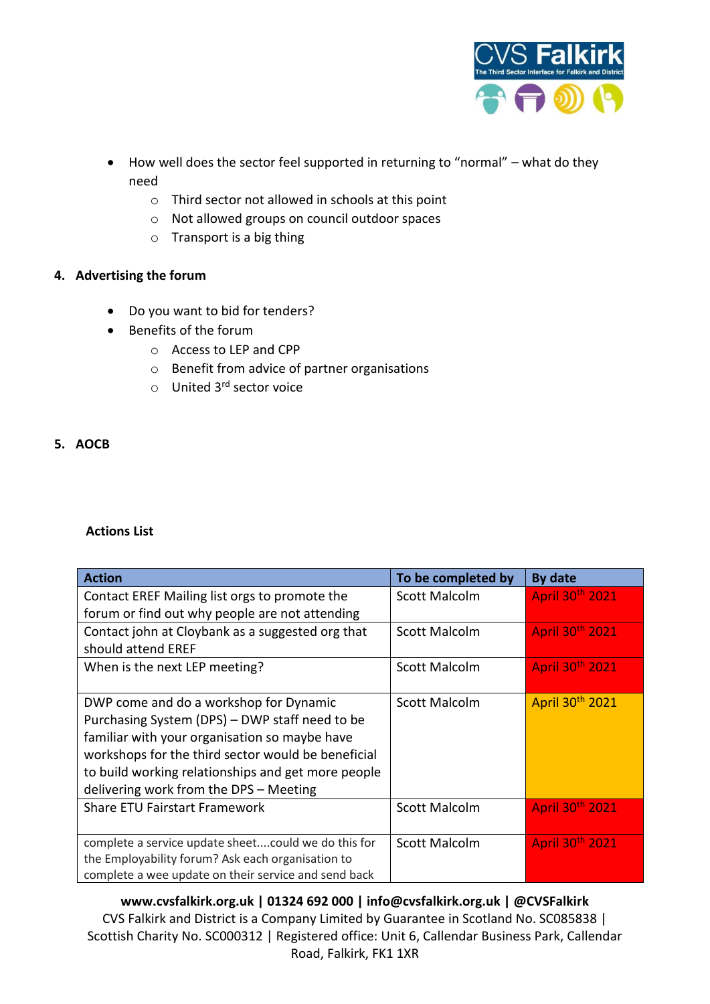

- How well does the sector feel supported in returning to "normal" what do they need
	- o Third sector not allowed in schools at this point
	- o Not allowed groups on council outdoor spaces
	- o Transport is a big thing

## **4. Advertising the forum**

- Do you want to bid for tenders?
- Benefits of the forum
	- o Access to LEP and CPP
	- o Benefit from advice of partner organisations
	- o United 3rd sector voice

#### **5. AOCB**

#### **Actions List**

| <b>Action</b>                                        | To be completed by   | By date         |
|------------------------------------------------------|----------------------|-----------------|
| Contact EREF Mailing list orgs to promote the        | <b>Scott Malcolm</b> | April 30th 2021 |
| forum or find out why people are not attending       |                      |                 |
| Contact john at Cloybank as a suggested org that     | Scott Malcolm        | April 30th 2021 |
| should attend EREF                                   |                      |                 |
| When is the next LEP meeting?                        | <b>Scott Malcolm</b> | April 30th 2021 |
|                                                      |                      |                 |
| DWP come and do a workshop for Dynamic               | <b>Scott Malcolm</b> | April 30th 2021 |
| Purchasing System (DPS) - DWP staff need to be       |                      |                 |
| familiar with your organisation so maybe have        |                      |                 |
| workshops for the third sector would be beneficial   |                      |                 |
| to build working relationships and get more people   |                      |                 |
| delivering work from the DPS - Meeting               |                      |                 |
| <b>Share ETU Fairstart Framework</b>                 | <b>Scott Malcolm</b> | April 30th 2021 |
|                                                      |                      |                 |
| complete a service update sheetcould we do this for  | Scott Malcolm        | April 30th 2021 |
| the Employability forum? Ask each organisation to    |                      |                 |
| complete a wee update on their service and send back |                      |                 |

**www.cvsfalkirk.org.uk | 01324 692 000 | info@cvsfalkirk.org.uk | @CVSFalkirk** CVS Falkirk and District is a Company Limited by Guarantee in Scotland No. SC085838 | Scottish Charity No. SC000312 | Registered office: Unit 6, Callendar Business Park, Callendar Road, Falkirk, FK1 1XR